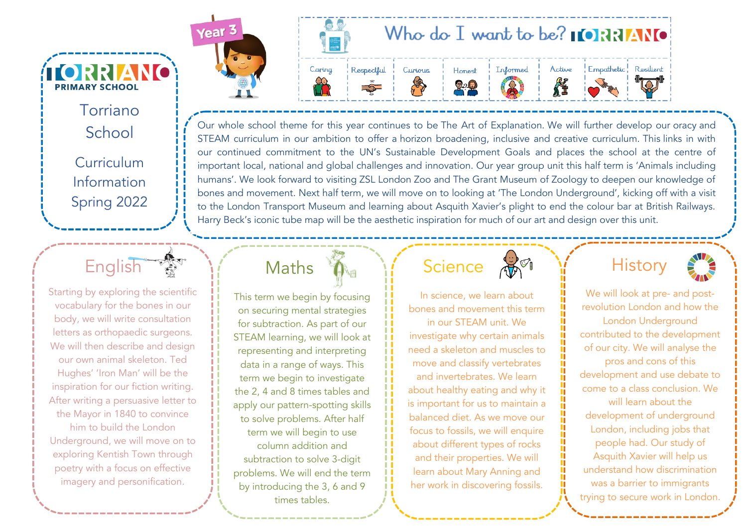Torriano School Curriculum Information Spring 2022

ÍIORRIANO

**PRIMARY SCHOOL** 



Starting by exploring the scientific vocabulary for the bones in our body, we will write consultation letters as orthopaedic surgeons. We will then describe and design our own animal skeleton. Ted Hughes' 'Iron Man' will be the inspiration for our fiction writing. After writing a persuasive letter to the Mayor in 1840 to convince him to build the London Underground, we will move on to exploring Kentish Town through poetry with a focus on effective imagery and personification.





Our whole school theme for this year continues to be The Art of Explanation. We will further develop our oracy and STEAM curriculum in our ambition to offer a horizon broadening, inclusive and creative curriculum. This links in with our continued commitment to the UN's Sustainable Development Goals and places the school at the centre of important local, national and global challenges and innovation. Our year group unit this half term is 'Animals including humans'. We look forward to visiting ZSL London Zoo and The Grant Museum of Zoology to deepen our knowledge of bones and movement. Next half term, we will move on to looking at 'The London Underground', kicking off with a visit to the London Transport Museum and learning about Asquith Xavier's plight to end the colour bar at British Railways. Harry Beck's iconic tube map will be the aesthetic inspiration for much of our art and design over this unit.

Maths

This term we begin by focusing on securing mental strategies for subtraction. As part of our STEAM learning, we will look at representing and interpreting data in a range of ways. This term we begin to investigate the 2, 4 and 8 times tables and apply our pattern-spotting skills to solve problems. After half term we will begin to use column addition and subtraction to solve 3-digit problems. We will end the term by introducing the 3, 6 and 9 times tables.

**Science** 

In science, we learn about bones and movement this term in our STEAM unit. We investigate why certain animals need a skeleton and muscles to move and classify vertebrates and invertebrates. We learn about healthy eating and why it is important for us to maintain a balanced diet. As we move our focus to fossils, we will enquire about different types of rocks and their properties. We will learn about Mary Anning and her work in discovering fossils.



We will look at pre- and postrevolution London and how the London Underground contributed to the development of our city. We will analyse the pros and cons of this development and use debate to come to a class conclusion. We will learn about the development of underground London, including jobs that people had. Our study of Asquith Xavier will help us understand how discrimination was a barrier to immigrants trying to secure work in London.